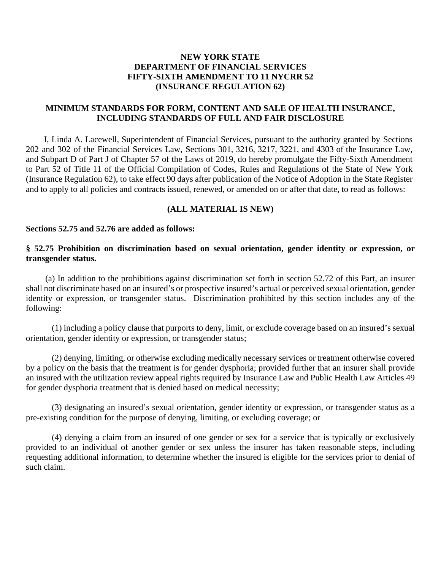# **NEW YORK STATE DEPARTMENT OF FINANCIAL SERVICES FIFTY-SIXTH AMENDMENT TO 11 NYCRR 52 (INSURANCE REGULATION 62)**

## **MINIMUM STANDARDS FOR FORM, CONTENT AND SALE OF HEALTH INSURANCE, INCLUDING STANDARDS OF FULL AND FAIR DISCLOSURE**

I, Linda A. Lacewell, Superintendent of Financial Services, pursuant to the authority granted by Sections 202 and 302 of the Financial Services Law, Sections 301, 3216, 3217, 3221, and 4303 of the Insurance Law, and Subpart D of Part J of Chapter 57 of the Laws of 2019, do hereby promulgate the Fifty-Sixth Amendment to Part 52 of Title 11 of the Official Compilation of Codes, Rules and Regulations of the State of New York (Insurance Regulation 62), to take effect 90 days after publication of the Notice of Adoption in the State Register and to apply to all policies and contracts issued, renewed, or amended on or after that date, to read as follows:

### **(ALL MATERIAL IS NEW)**

#### **Sections 52.75 and 52.76 are added as follows:**

## **§ 52.75 Prohibition on discrimination based on sexual orientation, gender identity or expression, or transgender status.**

(a) In addition to the prohibitions against discrimination set forth in section 52.72 of this Part, an insurer shall not discriminate based on an insured's or prospective insured's actual or perceived sexual orientation, gender identity or expression, or transgender status. Discrimination prohibited by this section includes any of the following:

(1) including a policy clause that purports to deny, limit, or exclude coverage based on an insured's sexual orientation, gender identity or expression, or transgender status;

(2) denying, limiting, or otherwise excluding medically necessary services or treatment otherwise covered by a policy on the basis that the treatment is for gender dysphoria; provided further that an insurer shall provide an insured with the utilization review appeal rights required by Insurance Law and Public Health Law Articles 49 for gender dysphoria treatment that is denied based on medical necessity;

(3) designating an insured's sexual orientation, gender identity or expression, or transgender status as a pre-existing condition for the purpose of denying, limiting, or excluding coverage; or

(4) denying a claim from an insured of one gender or sex for a service that is typically or exclusively provided to an individual of another gender or sex unless the insurer has taken reasonable steps, including requesting additional information, to determine whether the insured is eligible for the services prior to denial of such claim.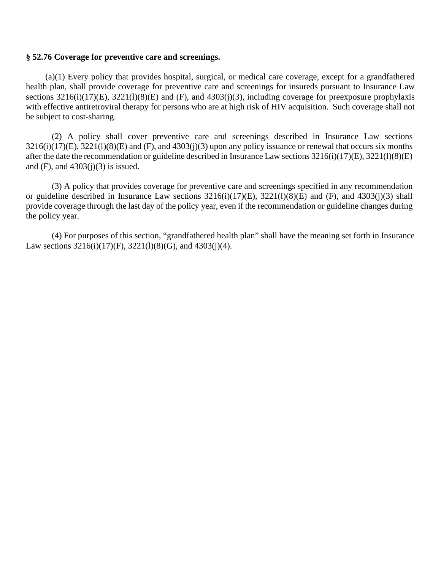### **§ 52.76 Coverage for preventive care and screenings.**

(a)(1) Every policy that provides hospital, surgical, or medical care coverage, except for a grandfathered health plan, shall provide coverage for preventive care and screenings for insureds pursuant to Insurance Law sections  $3216(i)(17)(E)$ ,  $3221(1)(8)(E)$  and  $(F)$ , and  $4303(i)(3)$ , including coverage for preexposure prophylaxis with effective antiretroviral therapy for persons who are at high risk of HIV acquisition. Such coverage shall not be subject to cost-sharing.

(2) A policy shall cover preventive care and screenings described in Insurance Law sections  $3216(i)(17)$ (E),  $3221(1)(8)$ (E) and (F), and  $4303(i)(3)$  upon any policy issuance or renewal that occurs six months after the date the recommendation or guideline described in Insurance Law sections 3216(i)(17)(E), 3221(l)(8)(E) and  $(F)$ , and  $4303(j)(3)$  is issued.

(3) A policy that provides coverage for preventive care and screenings specified in any recommendation or guideline described in Insurance Law sections 3216(i)(17)(E), 3221(l)(8)(E) and (F), and 4303(j)(3) shall provide coverage through the last day of the policy year, even if the recommendation or guideline changes during the policy year.

(4) For purposes of this section, "grandfathered health plan" shall have the meaning set forth in Insurance Law sections  $3216(i)(17)(F)$ ,  $3221(1)(8)(G)$ , and  $4303(i)(4)$ .